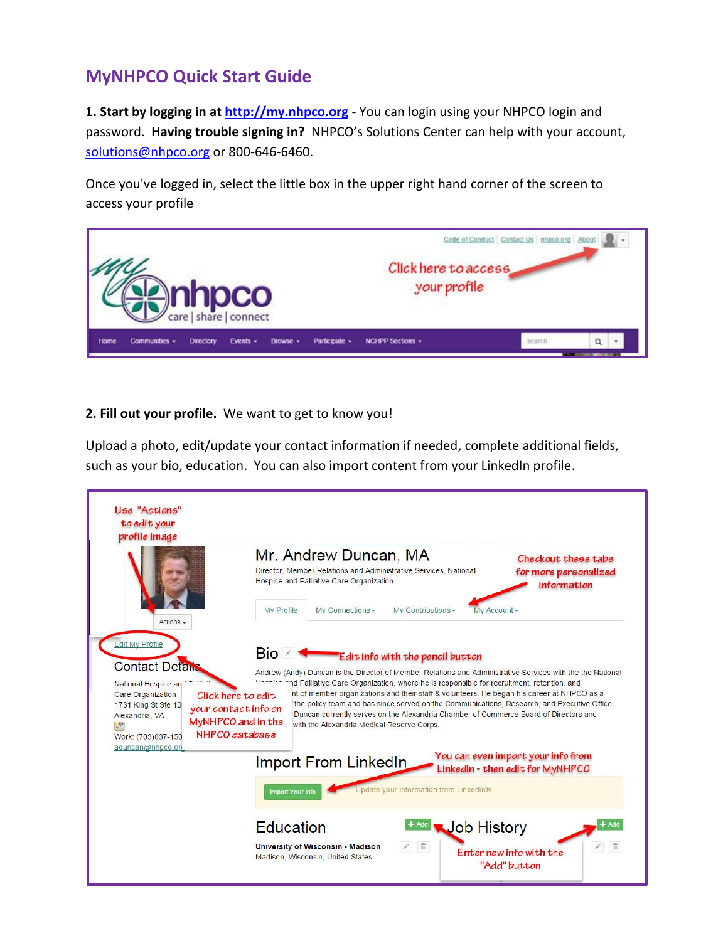## **MyNHPCO Quick Start Guide**

**1. Start by logging in at [http://my.nhpco.org](http://my.nhpco.org/)** - You can login using your NHPCO login and password. **Having trouble signing in?** NHPCO's Solutions Center can help with your account, [solutions@nhpco.org](mailto:solutions@nhpco.org) or 800-646-6460.

Once you've logged in, select the little box in the upper right hand corner of the screen to access your profile



## **2. Fill out your profile.** We want to get to know you!

Upload a photo, edit/update your contact information if needed, complete additional fields, such as your bio, education. You can also import content from your LinkedIn profile.

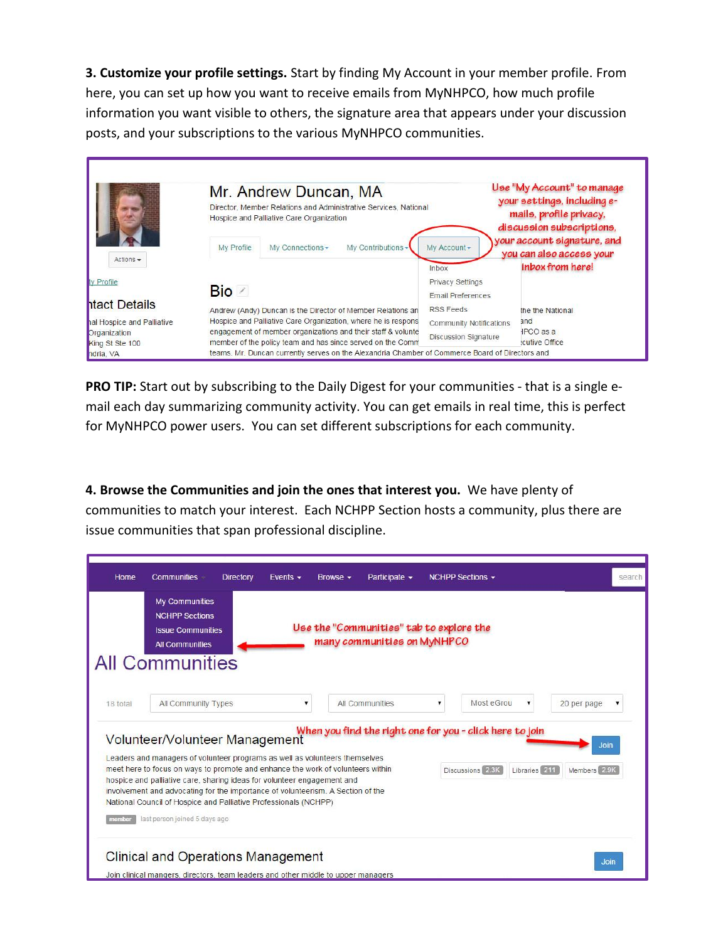**3. Customize your profile settings.** Start by finding My Account in your member profile. From here, you can set up how you want to receive emails from MyNHPCO, how much profile information you want visible to others, the signature area that appears under your discussion posts, and your subscriptions to the various MyNHPCO communities.

|                                 | Mr. Andrew Duncan, MA<br>Director, Member Relations and Administrative Services, National<br>Hospice and Palliative Care Organization |                                                                                                                            |                                                     | Use "My Account" to manage<br>your settings, including e-<br>mails, profile privacy,<br>discussion subscriptions,<br>your account signature, and |  |  |  |
|---------------------------------|---------------------------------------------------------------------------------------------------------------------------------------|----------------------------------------------------------------------------------------------------------------------------|-----------------------------------------------------|--------------------------------------------------------------------------------------------------------------------------------------------------|--|--|--|
| Actions $\star$                 | My Profile                                                                                                                            | My Connections -<br>My Contributions -                                                                                     | My Account-<br>Inbox                                | you can also access your<br>inbox from here!                                                                                                     |  |  |  |
| ly Profile                      | Bio ⊘                                                                                                                                 |                                                                                                                            | <b>Privacy Settings</b><br><b>Email Preferences</b> |                                                                                                                                                  |  |  |  |
| htact Details                   |                                                                                                                                       | Andrew (Andy) Duncan is the Director of Member Relations an                                                                | RSS Feeds                                           | the the National                                                                                                                                 |  |  |  |
| hal Hospice and Palliative      |                                                                                                                                       | Hospice and Palliative Care Organization, where he is respons                                                              | Community Notifications                             | and                                                                                                                                              |  |  |  |
| Organization<br>King St Ste 100 |                                                                                                                                       | engagement of member organizations and their staff & volunte<br>member of the policy team and has since served on the Comm | <b>Discussion Signature</b>                         | $HPCO$ as a<br>ecutive Office                                                                                                                    |  |  |  |
| hdria, VA                       | teams. Mr. Duncan currently serves on the Alexandria Chamber of Commerce Board of Directors and                                       |                                                                                                                            |                                                     |                                                                                                                                                  |  |  |  |

**PRO TIP:** Start out by subscribing to the Daily Digest for your communities - that is a single email each day summarizing community activity. You can get emails in real time, this is perfect for MyNHPCO power users. You can set different subscriptions for each community.

**4. Browse the Communities and join the ones that interest you.** We have plenty of communities to match your interest. Each NCHPP Section hosts a community, plus there are issue communities that span professional discipline.

|          | <b>My Communities</b><br><b>NCHPP Sections</b><br><b>Issue Communities</b><br><b>All Communities</b><br><b>All Communities</b>                                                                                             | Use the "Communities" tab to explore the<br>many communities on MyNHPCO                                                                                            |                                                          |              |
|----------|----------------------------------------------------------------------------------------------------------------------------------------------------------------------------------------------------------------------------|--------------------------------------------------------------------------------------------------------------------------------------------------------------------|----------------------------------------------------------|--------------|
| 18 total | All Community Types                                                                                                                                                                                                        | All Communities                                                                                                                                                    | Most eGrou<br>۷<br>v                                     | 20 per page  |
|          | Volunteer/Volunteer Management                                                                                                                                                                                             |                                                                                                                                                                    | When you find the right one for you - click here to join | <b>Join</b>  |
|          | Leaders and managers of volunteer programs as well as volunteers themselves<br>hospice and palliative care, sharing ideas for volunteer engagement and<br>National Council of Hospice and Palliative Professionals (NCHPP) | meet here to focus on ways to promote and enhance the work of volunteers within<br>involvement and advocating for the importance of volunteerism. A Section of the | Discussions 2.3K<br>Libraries 211                        | Members 2.9K |
|          |                                                                                                                                                                                                                            |                                                                                                                                                                    |                                                          |              |